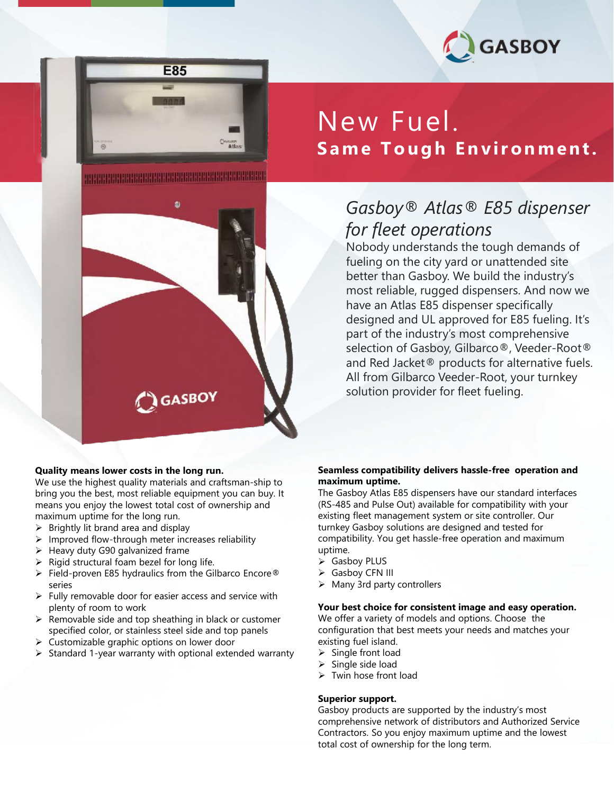





#### **Quality means lower costs in the long run.**

We use the highest quality materials and craftsman-ship to bring you the best, most reliable equipment you can buy. It means you enjoy the lowest total cost of ownership and maximum uptime for the long run.

- $\triangleright$  Brightly lit brand area and display
- Improved flow-through meter increases reliability
- $\blacktriangleright$  Heavy duty G90 galvanized frame
- $\triangleright$  Rigid structural foam bezel for long life.
- $\triangleright$  Field-proven E85 hydraulics from the Gilbarco Encore® series
- $\triangleright$  Fully removable door for easier access and service with plenty of room to work
- $\triangleright$  Removable side and top sheathing in black or customer specified color, or stainless steel side and top panels
- $\triangleright$  Customizable graphic options on lower door
- $\triangleright$  Standard 1-year warranty with optional extended warranty

# New Fuel. **Same Tough Environment.**

### *Gasboy® Atlas® E85 dispenser for fleet operations*

Nobody understands the tough demands of fueling on the city yard or unattended site better than Gasboy. We build the industry's most reliable, rugged dispensers. And now we have an Atlas E85 dispenser specifically designed and UL approved for E85 fueling. It's part of the industry's most comprehensive selection of Gasboy, Gilbarco®, Veeder-Root® and Red Jacket® products for alternative fuels. All from Gilbarco Veeder-Root, your turnkey solution provider for fleet fueling.

#### **Seamless compatibility delivers hassle-free operation and maximum uptime.**

The Gasboy Atlas E85 dispensers have our standard interfaces (RS-485 and Pulse Out) available for compatibility with your existing fleet management system or site controller. Our turnkey Gasboy solutions are designed and tested for compatibility. You get hassle-free operation and maximum uptime.

- Gasboy PLUS
- Gasboy CFN III
- $\triangleright$  Many 3rd party controllers

#### **Your best choice for consistent image and easy operation.**

We offer a variety of models and options. Choose the configuration that best meets your needs and matches your existing fuel island.

- $\triangleright$  Single front load
- $\triangleright$  Single side load
- $\triangleright$  Twin hose front load

#### **Superior support.**

total cost of ownership for the long term.<br>———————————————————— Gasboy products are supported by the industry's most comprehensive network of distributors and Authorized Service Contractors. So you enjoy maximum uptime and the lowest